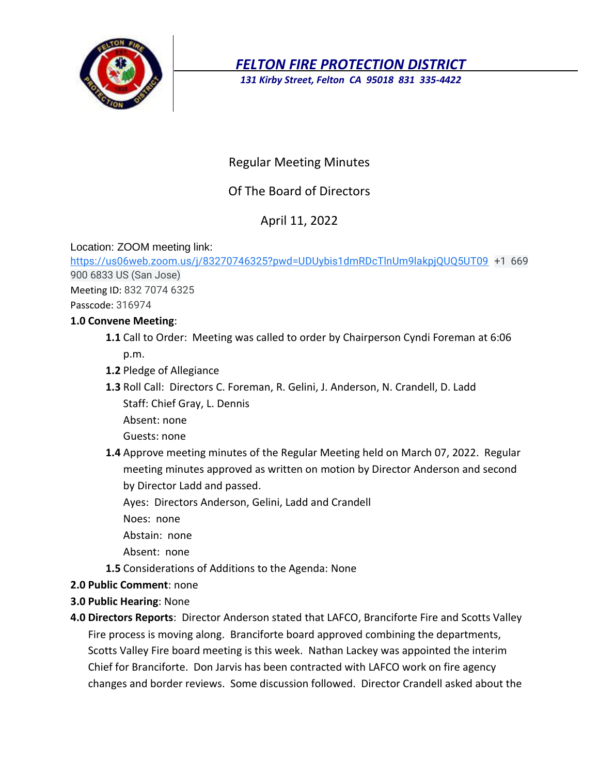

*FELTON FIRE PROTECTION DISTRICT*

*131 Kirby Street, Felton CA 95018 831 335-4422*

# Regular Meeting Minutes

# Of The Board of Directors

# April 11, 2022

## Location: ZOOM meeting link:

<https://us06web.zoom.us/j/83270746325?pwd=UDUybis1dmRDcTlnUm9lakpjQUQ5UT09> +1 669 900 6833 US (San Jose) Meeting ID: 832 7074 6325

Passcode: 316974

### **1.0 Convene Meeting**:

- **1.1** Call to Order: Meeting was called to order by Chairperson Cyndi Foreman at 6:06 p.m.
- **1.2** Pledge of Allegiance
- **1.3** Roll Call: Directors C. Foreman, R. Gelini, J. Anderson, N. Crandell, D. Ladd Staff: Chief Gray, L. Dennis Absent: none

Guests: none

**1.4** Approve meeting minutes of the Regular Meeting held on March 07, 2022. Regular meeting minutes approved as written on motion by Director Anderson and second by Director Ladd and passed.

Ayes: Directors Anderson, Gelini, Ladd and Crandell

Noes: none

Abstain: none

- Absent: none
- **1.5** Considerations of Additions to the Agenda: None
- **2.0 Public Comment**: none
- **3.0 Public Hearing**: None
- **4.0 Directors Reports**: Director Anderson stated that LAFCO, Branciforte Fire and Scotts Valley Fire process is moving along. Branciforte board approved combining the departments, Scotts Valley Fire board meeting is this week. Nathan Lackey was appointed the interim Chief for Branciforte. Don Jarvis has been contracted with LAFCO work on fire agency changes and border reviews. Some discussion followed. Director Crandell asked about the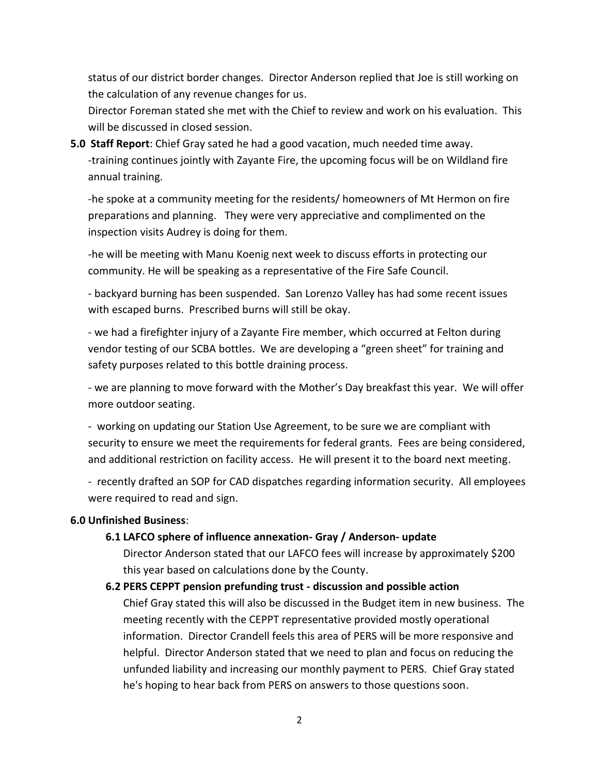status of our district border changes. Director Anderson replied that Joe is still working on the calculation of any revenue changes for us.

Director Foreman stated she met with the Chief to review and work on his evaluation. This will be discussed in closed session.

**5.0 Staff Report**: Chief Gray sated he had a good vacation, much needed time away. -training continues jointly with Zayante Fire, the upcoming focus will be on Wildland fire annual training.

-he spoke at a community meeting for the residents/ homeowners of Mt Hermon on fire preparations and planning. They were very appreciative and complimented on the inspection visits Audrey is doing for them.

-he will be meeting with Manu Koenig next week to discuss efforts in protecting our community. He will be speaking as a representative of the Fire Safe Council.

- backyard burning has been suspended. San Lorenzo Valley has had some recent issues with escaped burns. Prescribed burns will still be okay.

- we had a firefighter injury of a Zayante Fire member, which occurred at Felton during vendor testing of our SCBA bottles. We are developing a "green sheet" for training and safety purposes related to this bottle draining process.

- we are planning to move forward with the Mother's Day breakfast this year. We will offer more outdoor seating.

- working on updating our Station Use Agreement, to be sure we are compliant with security to ensure we meet the requirements for federal grants. Fees are being considered, and additional restriction on facility access. He will present it to the board next meeting.

- recently drafted an SOP for CAD dispatches regarding information security. All employees were required to read and sign.

### **6.0 Unfinished Business**:

### **6.1 LAFCO sphere of influence annexation- Gray / Anderson- update**

Director Anderson stated that our LAFCO fees will increase by approximately \$200 this year based on calculations done by the County.

### **6.2 PERS CEPPT pension prefunding trust - discussion and possible action**

Chief Gray stated this will also be discussed in the Budget item in new business. The meeting recently with the CEPPT representative provided mostly operational information. Director Crandell feels this area of PERS will be more responsive and helpful. Director Anderson stated that we need to plan and focus on reducing the unfunded liability and increasing our monthly payment to PERS. Chief Gray stated he's hoping to hear back from PERS on answers to those questions soon.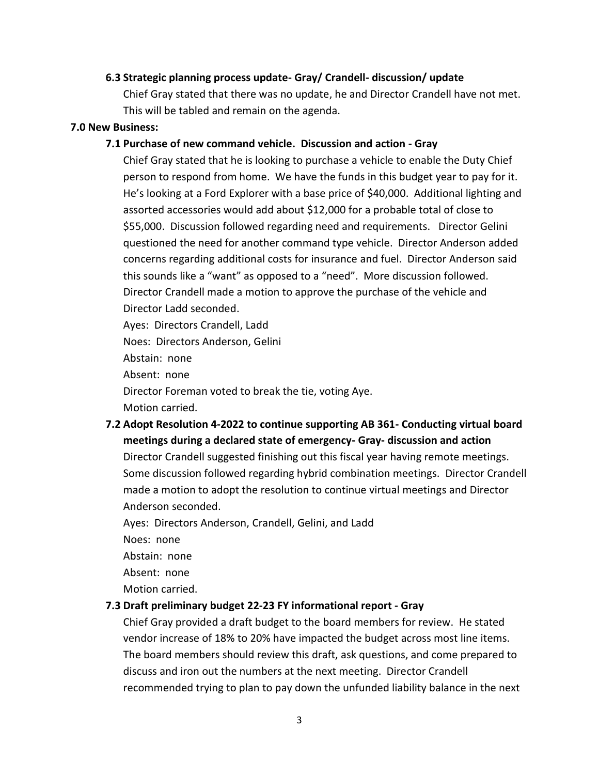#### **6.3 Strategic planning process update- Gray/ Crandell- discussion/ update**

Chief Gray stated that there was no update, he and Director Crandell have not met. This will be tabled and remain on the agenda.

#### **7.0 New Business:**

#### **7.1 Purchase of new command vehicle. Discussion and action - Gray**

Chief Gray stated that he is looking to purchase a vehicle to enable the Duty Chief person to respond from home. We have the funds in this budget year to pay for it. He's looking at a Ford Explorer with a base price of \$40,000. Additional lighting and assorted accessories would add about \$12,000 for a probable total of close to \$55,000. Discussion followed regarding need and requirements. Director Gelini questioned the need for another command type vehicle. Director Anderson added concerns regarding additional costs for insurance and fuel. Director Anderson said this sounds like a "want" as opposed to a "need". More discussion followed. Director Crandell made a motion to approve the purchase of the vehicle and Director Ladd seconded.

Ayes: Directors Crandell, Ladd

Noes: Directors Anderson, Gelini

Abstain: none

Absent: none

Director Foreman voted to break the tie, voting Aye.

Motion carried.

### **7.2 Adopt Resolution 4-2022 to continue supporting AB 361- Conducting virtual board meetings during a declared state of emergency- Gray- discussion and action**

Director Crandell suggested finishing out this fiscal year having remote meetings. Some discussion followed regarding hybrid combination meetings. Director Crandell made a motion to adopt the resolution to continue virtual meetings and Director Anderson seconded.

Ayes: Directors Anderson, Crandell, Gelini, and Ladd

Noes: none

Abstain: none

Absent: none

Motion carried.

### **7.3 Draft preliminary budget 22-23 FY informational report - Gray**

Chief Gray provided a draft budget to the board members for review. He stated vendor increase of 18% to 20% have impacted the budget across most line items. The board members should review this draft, ask questions, and come prepared to discuss and iron out the numbers at the next meeting. Director Crandell recommended trying to plan to pay down the unfunded liability balance in the next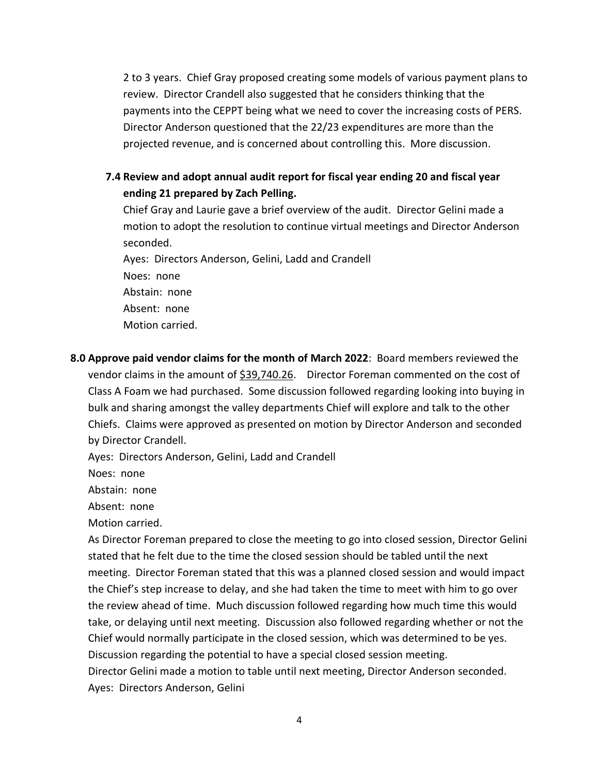2 to 3 years. Chief Gray proposed creating some models of various payment plans to review. Director Crandell also suggested that he considers thinking that the payments into the CEPPT being what we need to cover the increasing costs of PERS. Director Anderson questioned that the 22/23 expenditures are more than the projected revenue, and is concerned about controlling this. More discussion.

**7.4 Review and adopt annual audit report for fiscal year ending 20 and fiscal year ending 21 prepared by Zach Pelling.**

Chief Gray and Laurie gave a brief overview of the audit. Director Gelini made a motion to adopt the resolution to continue virtual meetings and Director Anderson seconded.

Ayes: Directors Anderson, Gelini, Ladd and Crandell Noes: none Abstain: none Absent: none Motion carried.

**8.0 Approve paid vendor claims for the month of March 2022**: Board members reviewed the vendor claims in the amount of  $$39,740.26$ . Director Foreman commented on the cost of Class A Foam we had purchased. Some discussion followed regarding looking into buying in bulk and sharing amongst the valley departments Chief will explore and talk to the other Chiefs. Claims were approved as presented on motion by Director Anderson and seconded by Director Crandell.

Ayes: Directors Anderson, Gelini, Ladd and Crandell

Noes: none

Abstain: none

Absent: none

Motion carried.

As Director Foreman prepared to close the meeting to go into closed session, Director Gelini stated that he felt due to the time the closed session should be tabled until the next meeting. Director Foreman stated that this was a planned closed session and would impact the Chief's step increase to delay, and she had taken the time to meet with him to go over the review ahead of time. Much discussion followed regarding how much time this would take, or delaying until next meeting. Discussion also followed regarding whether or not the Chief would normally participate in the closed session, which was determined to be yes. Discussion regarding the potential to have a special closed session meeting. Director Gelini made a motion to table until next meeting, Director Anderson seconded. Ayes: Directors Anderson, Gelini